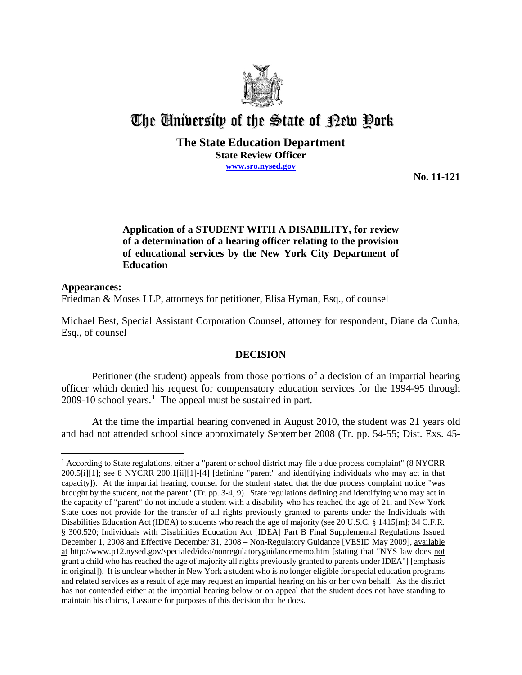

# The University of the State of Pew Pork

# **The State Education Department**

**State Review Officer www.sro.nysed.gov**

**No. 11-121** 

# **Application of a STUDENT WITH A DISABILITY, for review of a determination of a hearing officer relating to the provision of educational services by the New York City Department of Education**

# **Appearances:** Friedman & Moses LLP, attorneys for petitioner, Elisa Hyman, Esq., of counsel

Michael Best, Special Assistant Corporation Counsel, attorney for respondent, Diane da Cunha, Esq., of counsel

# **DECISION**

Petitioner (the student) appeals from those portions of a decision of an impartial hearing officer which denied his request for compensatory education services for the 1994-95 through 2009-10 school years. 1 The appeal must be sustained in part.

At the time the impartial hearing convened in August 2010, the student was 21 years old and had not attended school since approximately September 2008 (Tr. pp. 54-55; Dist. Exs. 45-

 $\overline{a}$ <sup>1</sup> According to State regulations, either a "parent or school district may file a due process complaint" (8 NYCRR 200.5[i][1]; see 8 NYCRR 200.1[ii][1]-[4] [defining "parent" and identifying individuals who may act in that capacity]). At the impartial hearing, counsel for the student stated that the due process complaint notice "was brought by the student, not the parent" (Tr. pp. 3-4, 9). State regulations defining and identifying who may act in the capacity of "parent" do not include a student with a disability who has reached the age of 21, and New York State does not provide for the transfer of all rights previously granted to parents under the Individuals with Disabilities Education Act (IDEA) to students who reach the age of majority (see 20 U.S.C. § 1415[m]; 34 C.F.R. § 300.520; Individuals with Disabilities Education Act [IDEA] Part B Final Supplemental Regulations Issued December 1, 2008 and Effective December 31, 2008 – Non-Regulatory Guidance [VESID May 2009], available at http://www.p12.nysed.gov/specialed/idea/nonregulatoryguidancememo.htm [stating that "NYS law does not grant a child who has reached the age of majority all rights previously granted to parents under IDEA"] [emphasis in original]). It is unclear whether in New York a student who is no longer eligible for special education programs and related services as a result of age may request an impartial hearing on his or her own behalf. As the district has not contended either at the impartial hearing below or on appeal that the student does not have standing to maintain his claims, I assume for purposes of this decision that he does.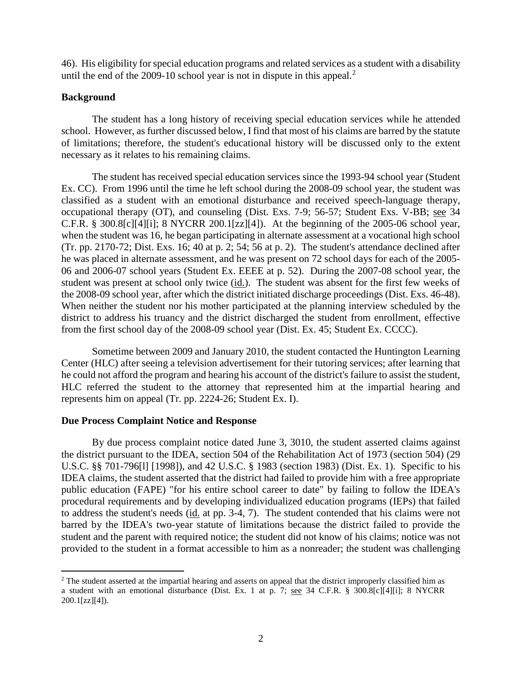46). His eligibility for special education programs and related services as a student with a disability until the end of the 2009-10 school year is not in dispute in this appeal.<sup>2</sup>

# **Background**

The student has a long history of receiving special education services while he attended school. However, as further discussed below, I find that most of his claims are barred by the statute of limitations; therefore, the student's educational history will be discussed only to the extent necessary as it relates to his remaining claims.

The student has received special education services since the 1993-94 school year (Student Ex. CC). From 1996 until the time he left school during the 2008-09 school year, the student was classified as a student with an emotional disturbance and received speech-language therapy, occupational therapy (OT), and counseling (Dist. Exs. 7-9; 56-57; Student Exs. V-BB; see 34 C.F.R. § 300.8[c][4][i]; 8 NYCRR 200.1[zz][4]). At the beginning of the 2005-06 school year, when the student was 16, he began participating in alternate assessment at a vocational high school (Tr. pp. 2170-72; Dist. Exs. 16; 40 at p. 2; 54; 56 at p. 2). The student's attendance declined after he was placed in alternate assessment, and he was present on 72 school days for each of the 2005- 06 and 2006-07 school years (Student Ex. EEEE at p. 52). During the 2007-08 school year, the student was present at school only twice (id.). The student was absent for the first few weeks of the 2008-09 school year, after which the district initiated discharge proceedings (Dist. Exs. 46-48). When neither the student nor his mother participated at the planning interview scheduled by the district to address his truancy and the district discharged the student from enrollment, effective from the first school day of the 2008-09 school year (Dist. Ex. 45; Student Ex. CCCC).

Sometime between 2009 and January 2010, the student contacted the Huntington Learning Center (HLC) after seeing a television advertisement for their tutoring services; after learning that he could not afford the program and hearing his account of the district's failure to assist the student, HLC referred the student to the attorney that represented him at the impartial hearing and represents him on appeal (Tr. pp. 2224-26; Student Ex. I).

# **Due Process Complaint Notice and Response**

By due process complaint notice dated June 3, 3010, the student asserted claims against the district pursuant to the IDEA, section 504 of the Rehabilitation Act of 1973 (section 504) (29 U.S.C. §§ 701-796[l] [1998]), and 42 U.S.C. § 1983 (section 1983) (Dist. Ex. 1). Specific to his IDEA claims, the student asserted that the district had failed to provide him with a free appropriate public education (FAPE) "for his entire school career to date" by failing to follow the IDEA's procedural requirements and by developing individualized education programs (IEPs) that failed to address the student's needs (id. at pp. 3-4, 7). The student contended that his claims were not barred by the IDEA's two-year statute of limitations because the district failed to provide the student and the parent with required notice; the student did not know of his claims; notice was not provided to the student in a format accessible to him as a nonreader; the student was challenging

<sup>&</sup>lt;sup>2</sup> The student asserted at the impartial hearing and asserts on appeal that the district improperly classified him as a student with an emotional disturbance (Dist. Ex. 1 at p. 7; see 34 C.F.R. § 300.8[c][4][i]; 8 NYCRR  $200.1[zz][4]$ .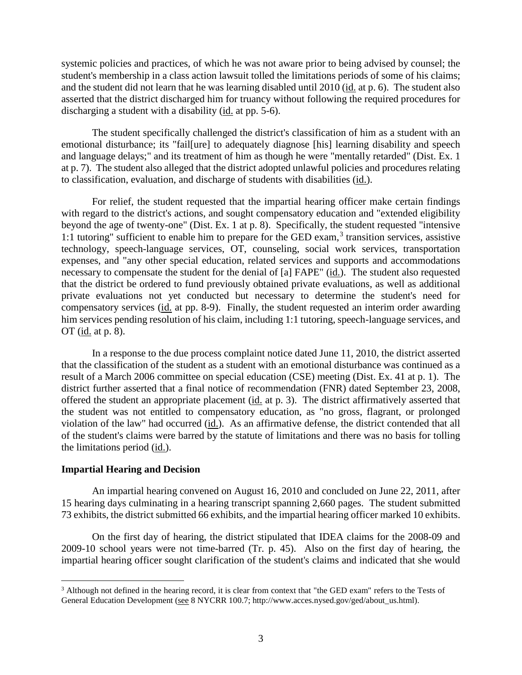systemic policies and practices, of which he was not aware prior to being advised by counsel; the student's membership in a class action lawsuit tolled the limitations periods of some of his claims; and the student did not learn that he was learning disabled until 2010 (id. at p. 6). The student also asserted that the district discharged him for truancy without following the required procedures for discharging a student with a disability (id. at pp. 5-6).

The student specifically challenged the district's classification of him as a student with an emotional disturbance; its "fail[ure] to adequately diagnose [his] learning disability and speech and language delays;" and its treatment of him as though he were "mentally retarded" (Dist. Ex. 1 at p. 7). The student also alleged that the district adopted unlawful policies and procedures relating to classification, evaluation, and discharge of students with disabilities (id.).

For relief, the student requested that the impartial hearing officer make certain findings with regard to the district's actions, and sought compensatory education and "extended eligibility beyond the age of twenty-one" (Dist. Ex. 1 at p. 8). Specifically, the student requested "intensive 1:1 tutoring" sufficient to enable him to prepare for the GED exam,  $3$  transition services, assistive technology, speech-language services, OT, counseling, social work services, transportation expenses, and "any other special education, related services and supports and accommodations necessary to compensate the student for the denial of [a] FAPE" (id.). The student also requested that the district be ordered to fund previously obtained private evaluations, as well as additional private evaluations not yet conducted but necessary to determine the student's need for compensatory services (id. at pp. 8-9). Finally, the student requested an interim order awarding him services pending resolution of his claim, including 1:1 tutoring, speech-language services, and OT (id. at p. 8).

In a response to the due process complaint notice dated June 11, 2010, the district asserted that the classification of the student as a student with an emotional disturbance was continued as a result of a March 2006 committee on special education (CSE) meeting (Dist. Ex. 41 at p. 1). The district further asserted that a final notice of recommendation (FNR) dated September 23, 2008, offered the student an appropriate placement (id. at p. 3). The district affirmatively asserted that the student was not entitled to compensatory education, as "no gross, flagrant, or prolonged violation of the law" had occurred (id.). As an affirmative defense, the district contended that all of the student's claims were barred by the statute of limitations and there was no basis for tolling the limitations period (id.).

# **Impartial Hearing and Decision**

An impartial hearing convened on August 16, 2010 and concluded on June 22, 2011, after 15 hearing days culminating in a hearing transcript spanning 2,660 pages. The student submitted 73 exhibits, the district submitted 66 exhibits, and the impartial hearing officer marked 10 exhibits.

On the first day of hearing, the district stipulated that IDEA claims for the 2008-09 and 2009-10 school years were not time-barred (Tr. p. 45). Also on the first day of hearing, the impartial hearing officer sought clarification of the student's claims and indicated that she would

<sup>&</sup>lt;sup>3</sup> Although not defined in the hearing record, it is clear from context that "the GED exam" refers to the Tests of General Education Development (see 8 NYCRR 100.7; http://www.acces.nysed.gov/ged/about\_us.html).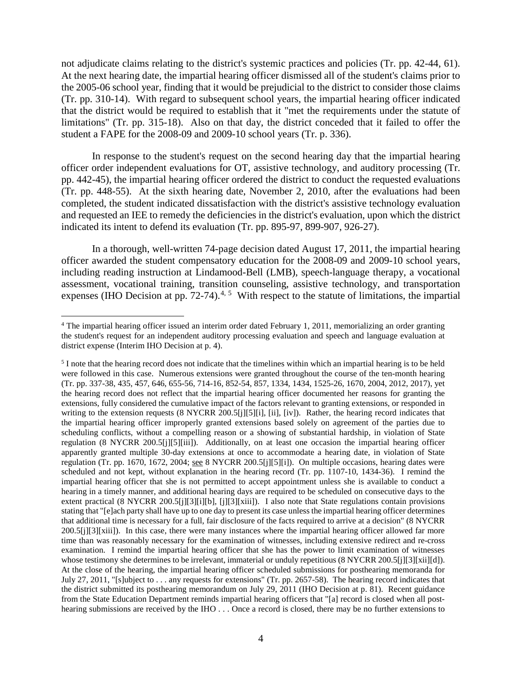not adjudicate claims relating to the district's systemic practices and policies (Tr. pp. 42-44, 61). At the next hearing date, the impartial hearing officer dismissed all of the student's claims prior to the 2005-06 school year, finding that it would be prejudicial to the district to consider those claims (Tr. pp. 310-14). With regard to subsequent school years, the impartial hearing officer indicated that the district would be required to establish that it "met the requirements under the statute of limitations" (Tr. pp. 315-18). Also on that day, the district conceded that it failed to offer the student a FAPE for the 2008-09 and 2009-10 school years (Tr. p. 336).

In response to the student's request on the second hearing day that the impartial hearing officer order independent evaluations for OT, assistive technology, and auditory processing (Tr. pp. 442-45), the impartial hearing officer ordered the district to conduct the requested evaluations (Tr. pp. 448-55). At the sixth hearing date, November 2, 2010, after the evaluations had been completed, the student indicated dissatisfaction with the district's assistive technology evaluation and requested an IEE to remedy the deficiencies in the district's evaluation, upon which the district indicated its intent to defend its evaluation (Tr. pp. 895-97, 899-907, 926-27).

In a thorough, well-written 74-page decision dated August 17, 2011, the impartial hearing officer awarded the student compensatory education for the 2008-09 and 2009-10 school years, including reading instruction at Lindamood-Bell (LMB), speech-language therapy, a vocational assessment, vocational training, transition counseling, assistive technology, and transportation expenses (IHO Decision at pp.  $72-74$ ).<sup>4, 5</sup> With respect to the statute of limitations, the impartial

<sup>&</sup>lt;sup>4</sup> The impartial hearing officer issued an interim order dated February 1, 2011, memorializing an order granting the student's request for an independent auditory processing evaluation and speech and language evaluation at district expense (Interim IHO Decision at p. 4).

 $<sup>5</sup>$  I note that the hearing record does not indicate that the timelines within which an impartial hearing is to be held</sup> were followed in this case. Numerous extensions were granted throughout the course of the ten-month hearing (Tr. pp. 337-38, 435, 457, 646, 655-56, 714-16, 852-54, 857, 1334, 1434, 1525-26, 1670, 2004, 2012, 2017), yet the hearing record does not reflect that the impartial hearing officer documented her reasons for granting the extensions, fully considered the cumulative impact of the factors relevant to granting extensions, or responded in writing to the extension requests (8 NYCRR 200.5[j][5][i], [ii], [iv]). Rather, the hearing record indicates that the impartial hearing officer improperly granted extensions based solely on agreement of the parties due to scheduling conflicts, without a compelling reason or a showing of substantial hardship, in violation of State regulation (8 NYCRR 200.5[j][5][iii]). Additionally, on at least one occasion the impartial hearing officer apparently granted multiple 30-day extensions at once to accommodate a hearing date, in violation of State regulation (Tr. pp. 1670, 1672, 2004; see 8 NYCRR 200.5[j][5][i]). On multiple occasions, hearing dates were scheduled and not kept, without explanation in the hearing record (Tr. pp. 1107-10, 1434-36). I remind the impartial hearing officer that she is not permitted to accept appointment unless she is available to conduct a hearing in a timely manner, and additional hearing days are required to be scheduled on consecutive days to the extent practical (8 NYCRR 200.5[j][3][i][b], [j][3][xiii]). I also note that State regulations contain provisions stating that "[e]ach party shall have up to one day to present its case unless the impartial hearing officer determines that additional time is necessary for a full, fair disclosure of the facts required to arrive at a decision" (8 NYCRR 200.5[j][3][xiii]). In this case, there were many instances where the impartial hearing officer allowed far more time than was reasonably necessary for the examination of witnesses, including extensive redirect and re-cross examination. I remind the impartial hearing officer that she has the power to limit examination of witnesses whose testimony she determines to be irrelevant, immaterial or unduly repetitious (8 NYCRR 200.5[j][3][xii][d]). At the close of the hearing, the impartial hearing officer scheduled submissions for posthearing memoranda for July 27, 2011, "[s]ubject to . . . any requests for extensions" (Tr. pp. 2657-58). The hearing record indicates that the district submitted its posthearing memorandum on July 29, 2011 (IHO Decision at p. 81). Recent guidance from the State Education Department reminds impartial hearing officers that "[a] record is closed when all posthearing submissions are received by the IHO . . . Once a record is closed, there may be no further extensions to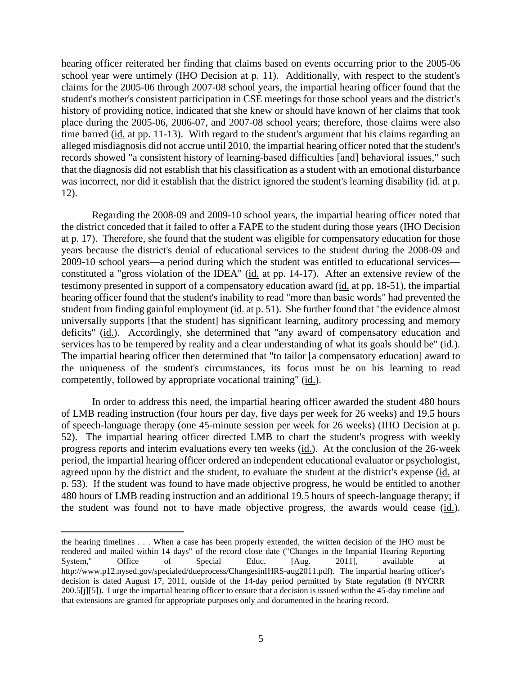hearing officer reiterated her finding that claims based on events occurring prior to the 2005-06 school year were untimely (IHO Decision at p. 11). Additionally, with respect to the student's claims for the 2005-06 through 2007-08 school years, the impartial hearing officer found that the student's mother's consistent participation in CSE meetings for those school years and the district's history of providing notice, indicated that she knew or should have known of her claims that took place during the 2005-06, 2006-07, and 2007-08 school years; therefore, those claims were also time barred (id. at pp. 11-13). With regard to the student's argument that his claims regarding an alleged misdiagnosis did not accrue until 2010, the impartial hearing officer noted that the student's records showed "a consistent history of learning-based difficulties [and] behavioral issues," such that the diagnosis did not establish that his classification as a student with an emotional disturbance was incorrect, nor did it establish that the district ignored the student's learning disability (id. at p. 12).

Regarding the 2008-09 and 2009-10 school years, the impartial hearing officer noted that the district conceded that it failed to offer a FAPE to the student during those years (IHO Decision at p. 17). Therefore, she found that the student was eligible for compensatory education for those years because the district's denial of educational services to the student during the 2008-09 and 2009-10 school years—a period during which the student was entitled to educational services constituted a "gross violation of the IDEA" (id. at pp. 14-17). After an extensive review of the testimony presented in support of a compensatory education award (id. at pp. 18-51), the impartial hearing officer found that the student's inability to read "more than basic words" had prevented the student from finding gainful employment (id. at p. 51). She further found that "the evidence almost universally supports [that the student] has significant learning, auditory processing and memory deficits" (id.). Accordingly, she determined that "any award of compensatory education and services has to be tempered by reality and a clear understanding of what its goals should be" (id.). The impartial hearing officer then determined that "to tailor [a compensatory education] award to the uniqueness of the student's circumstances, its focus must be on his learning to read competently, followed by appropriate vocational training" (id.).

In order to address this need, the impartial hearing officer awarded the student 480 hours of LMB reading instruction (four hours per day, five days per week for 26 weeks) and 19.5 hours of speech-language therapy (one 45-minute session per week for 26 weeks) (IHO Decision at p. 52). The impartial hearing officer directed LMB to chart the student's progress with weekly progress reports and interim evaluations every ten weeks (id.). At the conclusion of the 26-week period, the impartial hearing officer ordered an independent educational evaluator or psychologist, agreed upon by the district and the student, to evaluate the student at the district's expense (id. at p. 53). If the student was found to have made objective progress, he would be entitled to another 480 hours of LMB reading instruction and an additional 19.5 hours of speech-language therapy; if the student was found not to have made objective progress, the awards would cease (id.).

 $\overline{a}$ 

the hearing timelines . . . When a case has been properly extended, the written decision of the IHO must be rendered and mailed within 14 days" of the record close date ("Changes in the Impartial Hearing Reporting System," Office of Special Educ. [Aug. 2011], <u>available at</u> http://www.p12.nysed.gov/specialed/dueprocess/ChangesinIHRS-aug2011.pdf). The impartial hearing officer's decision is dated August 17, 2011, outside of the 14-day period permitted by State regulation (8 NYCRR 200.5[j][5]). I urge the impartial hearing officer to ensure that a decision is issued within the 45-day timeline and that extensions are granted for appropriate purposes only and documented in the hearing record.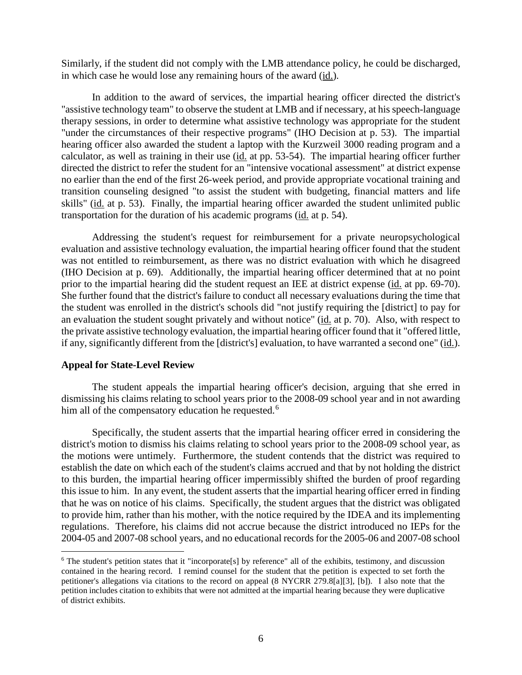Similarly, if the student did not comply with the LMB attendance policy, he could be discharged, in which case he would lose any remaining hours of the award (id.).

In addition to the award of services, the impartial hearing officer directed the district's "assistive technology team" to observe the student at LMB and if necessary, at his speech-language therapy sessions, in order to determine what assistive technology was appropriate for the student "under the circumstances of their respective programs" (IHO Decision at p. 53). The impartial hearing officer also awarded the student a laptop with the Kurzweil 3000 reading program and a calculator, as well as training in their use (id. at pp. 53-54). The impartial hearing officer further directed the district to refer the student for an "intensive vocational assessment" at district expense no earlier than the end of the first 26-week period, and provide appropriate vocational training and transition counseling designed "to assist the student with budgeting, financial matters and life skills" (id. at p. 53). Finally, the impartial hearing officer awarded the student unlimited public transportation for the duration of his academic programs (id. at p. 54).

Addressing the student's request for reimbursement for a private neuropsychological evaluation and assistive technology evaluation, the impartial hearing officer found that the student was not entitled to reimbursement, as there was no district evaluation with which he disagreed (IHO Decision at p. 69). Additionally, the impartial hearing officer determined that at no point prior to the impartial hearing did the student request an IEE at district expense (id. at pp. 69-70). She further found that the district's failure to conduct all necessary evaluations during the time that the student was enrolled in the district's schools did "not justify requiring the [district] to pay for an evaluation the student sought privately and without notice" (id. at p. 70). Also, with respect to the private assistive technology evaluation, the impartial hearing officer found that it "offered little, if any, significantly different from the [district's] evaluation, to have warranted a second one" (id.).

### **Appeal for State-Level Review**

The student appeals the impartial hearing officer's decision, arguing that she erred in dismissing his claims relating to school years prior to the 2008-09 school year and in not awarding him all of the compensatory education he requested.<sup>6</sup>

Specifically, the student asserts that the impartial hearing officer erred in considering the district's motion to dismiss his claims relating to school years prior to the 2008-09 school year, as the motions were untimely. Furthermore, the student contends that the district was required to establish the date on which each of the student's claims accrued and that by not holding the district to this burden, the impartial hearing officer impermissibly shifted the burden of proof regarding this issue to him. In any event, the student asserts that the impartial hearing officer erred in finding that he was on notice of his claims. Specifically, the student argues that the district was obligated to provide him, rather than his mother, with the notice required by the IDEA and its implementing regulations. Therefore, his claims did not accrue because the district introduced no IEPs for the 2004-05 and 2007-08 school years, and no educational records for the 2005-06 and 2007-08 school

 $6$  The student's petition states that it "incorporate[s] by reference" all of the exhibits, testimony, and discussion contained in the hearing record. I remind counsel for the student that the petition is expected to set forth the petitioner's allegations via citations to the record on appeal (8 NYCRR 279.8[a][3], [b]). I also note that the petition includes citation to exhibits that were not admitted at the impartial hearing because they were duplicative of district exhibits.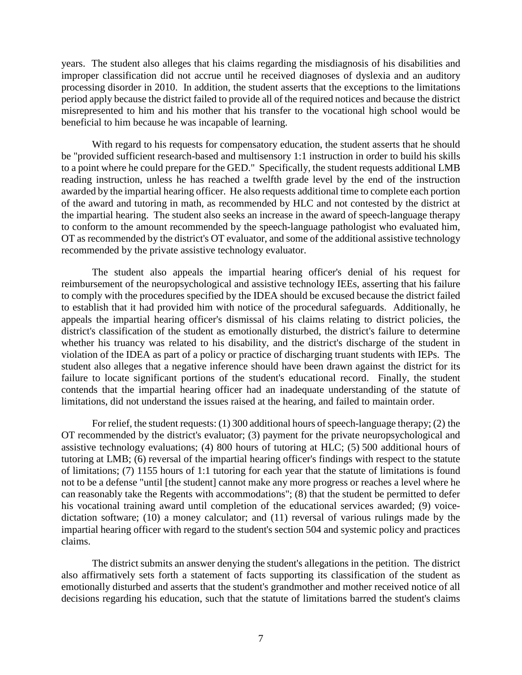years. The student also alleges that his claims regarding the misdiagnosis of his disabilities and improper classification did not accrue until he received diagnoses of dyslexia and an auditory processing disorder in 2010. In addition, the student asserts that the exceptions to the limitations period apply because the district failed to provide all of the required notices and because the district misrepresented to him and his mother that his transfer to the vocational high school would be beneficial to him because he was incapable of learning.

With regard to his requests for compensatory education, the student asserts that he should be "provided sufficient research-based and multisensory 1:1 instruction in order to build his skills to a point where he could prepare for the GED." Specifically, the student requests additional LMB reading instruction, unless he has reached a twelfth grade level by the end of the instruction awarded by the impartial hearing officer. He also requests additional time to complete each portion of the award and tutoring in math, as recommended by HLC and not contested by the district at the impartial hearing. The student also seeks an increase in the award of speech-language therapy to conform to the amount recommended by the speech-language pathologist who evaluated him, OT as recommended by the district's OT evaluator, and some of the additional assistive technology recommended by the private assistive technology evaluator.

The student also appeals the impartial hearing officer's denial of his request for reimbursement of the neuropsychological and assistive technology IEEs, asserting that his failure to comply with the procedures specified by the IDEA should be excused because the district failed to establish that it had provided him with notice of the procedural safeguards. Additionally, he appeals the impartial hearing officer's dismissal of his claims relating to district policies, the district's classification of the student as emotionally disturbed, the district's failure to determine whether his truancy was related to his disability, and the district's discharge of the student in violation of the IDEA as part of a policy or practice of discharging truant students with IEPs. The student also alleges that a negative inference should have been drawn against the district for its failure to locate significant portions of the student's educational record. Finally, the student contends that the impartial hearing officer had an inadequate understanding of the statute of limitations, did not understand the issues raised at the hearing, and failed to maintain order.

For relief, the student requests: (1) 300 additional hours of speech-language therapy; (2) the OT recommended by the district's evaluator; (3) payment for the private neuropsychological and assistive technology evaluations; (4) 800 hours of tutoring at HLC; (5) 500 additional hours of tutoring at LMB; (6) reversal of the impartial hearing officer's findings with respect to the statute of limitations; (7) 1155 hours of 1:1 tutoring for each year that the statute of limitations is found not to be a defense "until [the student] cannot make any more progress or reaches a level where he can reasonably take the Regents with accommodations"; (8) that the student be permitted to defer his vocational training award until completion of the educational services awarded; (9) voicedictation software; (10) a money calculator; and (11) reversal of various rulings made by the impartial hearing officer with regard to the student's section 504 and systemic policy and practices claims.

The district submits an answer denying the student's allegations in the petition. The district also affirmatively sets forth a statement of facts supporting its classification of the student as emotionally disturbed and asserts that the student's grandmother and mother received notice of all decisions regarding his education, such that the statute of limitations barred the student's claims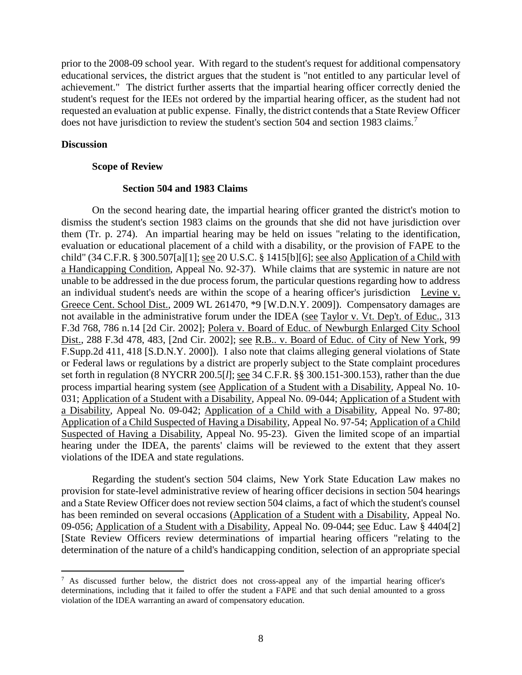prior to the 2008-09 school year. With regard to the student's request for additional compensatory educational services, the district argues that the student is "not entitled to any particular level of achievement." The district further asserts that the impartial hearing officer correctly denied the student's request for the IEEs not ordered by the impartial hearing officer, as the student had not requested an evaluation at public expense. Finally, the district contends that a State Review Officer does not have jurisdiction to review the student's section 504 and section 1983 claims.<sup>7</sup>

## **Discussion**

## **Scope of Review**

# **Section 504 and 1983 Claims**

On the second hearing date, the impartial hearing officer granted the district's motion to dismiss the student's section 1983 claims on the grounds that she did not have jurisdiction over them (Tr. p. 274). An impartial hearing may be held on issues "relating to the identification, evaluation or educational placement of a child with a disability, or the provision of FAPE to the child" (34 C.F.R. § 300.507[a][1]; see 20 U.S.C. § 1415[b][6]; see also Application of a Child with a Handicapping Condition, Appeal No. 92-37). While claims that are systemic in nature are not unable to be addressed in the due process forum, the particular questions regarding how to address an individual student's needs are within the scope of a hearing officer's jurisdiction Levine v. Greece Cent. School Dist., 2009 WL 261470, \*9 [W.D.N.Y. 2009]). Compensatory damages are not available in the administrative forum under the IDEA (see Taylor v. Vt. Dep't. of Educ., 313 F.3d 768, 786 n.14 [2d Cir. 2002]; Polera v. Board of Educ. of Newburgh Enlarged City School Dist., 288 F.3d 478, 483, [2nd Cir. 2002]; see R.B.. v. Board of Educ. of City of New York, 99 F.Supp.2d 411, 418 [S.D.N.Y. 2000]). I also note that claims alleging general violations of State or Federal laws or regulations by a district are properly subject to the State complaint procedures set forth in regulation (8 NYCRR 200.5[*l*]; see 34 C.F.R. §§ 300.151-300.153), rather than the due process impartial hearing system (see Application of a Student with a Disability, Appeal No. 10- 031; Application of a Student with a Disability, Appeal No. 09-044; Application of a Student with a Disability, Appeal No. 09-042; Application of a Child with a Disability, Appeal No. 97-80; Application of a Child Suspected of Having a Disability, Appeal No. 97-54; Application of a Child Suspected of Having a Disability, Appeal No. 95-23). Given the limited scope of an impartial hearing under the IDEA, the parents' claims will be reviewed to the extent that they assert violations of the IDEA and state regulations.

Regarding the student's section 504 claims, New York State Education Law makes no provision for state-level administrative review of hearing officer decisions in section 504 hearings and a State Review Officer does not review section 504 claims, a fact of which the student's counsel has been reminded on several occasions (Application of a Student with a Disability, Appeal No. 09-056; Application of a Student with a Disability, Appeal No. 09-044; see Educ. Law § 4404[2] [State Review Officers review determinations of impartial hearing officers "relating to the determination of the nature of a child's handicapping condition, selection of an appropriate special

 <sup>7</sup> As discussed further below, the district does not cross-appeal any of the impartial hearing officer's determinations, including that it failed to offer the student a FAPE and that such denial amounted to a gross violation of the IDEA warranting an award of compensatory education.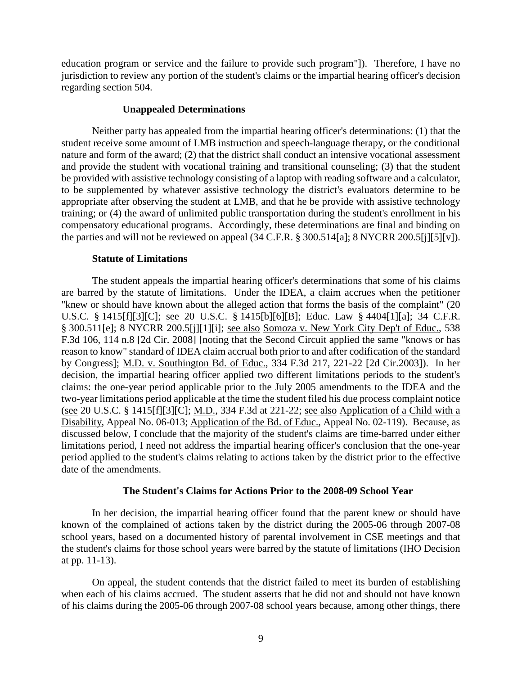education program or service and the failure to provide such program"]). Therefore, I have no jurisdiction to review any portion of the student's claims or the impartial hearing officer's decision regarding section 504.

#### **Unappealed Determinations**

Neither party has appealed from the impartial hearing officer's determinations: (1) that the student receive some amount of LMB instruction and speech-language therapy, or the conditional nature and form of the award; (2) that the district shall conduct an intensive vocational assessment and provide the student with vocational training and transitional counseling; (3) that the student be provided with assistive technology consisting of a laptop with reading software and a calculator, to be supplemented by whatever assistive technology the district's evaluators determine to be appropriate after observing the student at LMB, and that he be provide with assistive technology training; or (4) the award of unlimited public transportation during the student's enrollment in his compensatory educational programs. Accordingly, these determinations are final and binding on the parties and will not be reviewed on appeal (34 C.F.R. § 300.514[a]; 8 NYCRR 200.5[j][5][v]).

#### **Statute of Limitations**

The student appeals the impartial hearing officer's determinations that some of his claims are barred by the statute of limitations. Under the IDEA, a claim accrues when the petitioner "knew or should have known about the alleged action that forms the basis of the complaint" (20 U.S.C. § 1415[f][3][C]; see 20 U.S.C. § 1415[b][6][B]; Educ. Law § 4404[1][a]; 34 C.F.R. § 300.511[e]; 8 NYCRR 200.5[j][1][i]; see also Somoza v. New York City Dep't of Educ., 538 F.3d 106, 114 n.8 [2d Cir. 2008] [noting that the Second Circuit applied the same "knows or has reason to know" standard of IDEA claim accrual both prior to and after codification of the standard by Congress]; M.D. v. Southington Bd. of Educ., 334 F.3d 217, 221-22 [2d Cir.2003]). In her decision, the impartial hearing officer applied two different limitations periods to the student's claims: the one-year period applicable prior to the July 2005 amendments to the IDEA and the two-year limitations period applicable at the time the student filed his due process complaint notice (see 20 U.S.C. § 1415[f][3][C]; M.D., 334 F.3d at 221-22; see also Application of a Child with a Disability, Appeal No. 06-013; Application of the Bd. of Educ., Appeal No. 02-119). Because, as discussed below, I conclude that the majority of the student's claims are time-barred under either limitations period, I need not address the impartial hearing officer's conclusion that the one-year period applied to the student's claims relating to actions taken by the district prior to the effective date of the amendments.

# **The Student's Claims for Actions Prior to the 2008-09 School Year**

In her decision, the impartial hearing officer found that the parent knew or should have known of the complained of actions taken by the district during the 2005-06 through 2007-08 school years, based on a documented history of parental involvement in CSE meetings and that the student's claims for those school years were barred by the statute of limitations (IHO Decision at pp. 11-13).

On appeal, the student contends that the district failed to meet its burden of establishing when each of his claims accrued. The student asserts that he did not and should not have known of his claims during the 2005-06 through 2007-08 school years because, among other things, there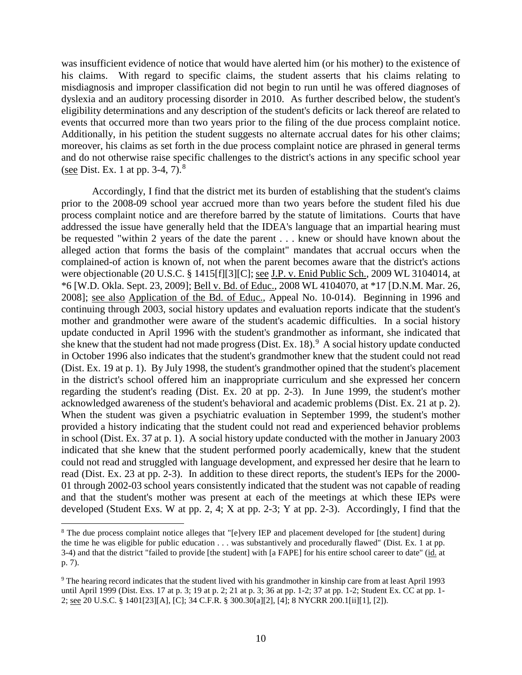was insufficient evidence of notice that would have alerted him (or his mother) to the existence of his claims. With regard to specific claims, the student asserts that his claims relating to misdiagnosis and improper classification did not begin to run until he was offered diagnoses of dyslexia and an auditory processing disorder in 2010. As further described below, the student's eligibility determinations and any description of the student's deficits or lack thereof are related to events that occurred more than two years prior to the filing of the due process complaint notice. Additionally, in his petition the student suggests no alternate accrual dates for his other claims; moreover, his claims as set forth in the due process complaint notice are phrased in general terms and do not otherwise raise specific challenges to the district's actions in any specific school year (see Dist. Ex. 1 at pp. 3-4,  $7)^8$ ).

Accordingly, I find that the district met its burden of establishing that the student's claims prior to the 2008-09 school year accrued more than two years before the student filed his due process complaint notice and are therefore barred by the statute of limitations. Courts that have addressed the issue have generally held that the IDEA's language that an impartial hearing must be requested "within 2 years of the date the parent . . . knew or should have known about the alleged action that forms the basis of the complaint" mandates that accrual occurs when the complained-of action is known of, not when the parent becomes aware that the district's actions were objectionable (20 U.S.C. § 1415[f][3][C]; see J.P. v. Enid Public Sch., 2009 WL 3104014, at \*6 [W.D. Okla. Sept. 23, 2009]; Bell v. Bd. of Educ., 2008 WL 4104070, at \*17 [D.N.M. Mar. 26, 2008]; see also Application of the Bd. of Educ., Appeal No. 10-014). Beginning in 1996 and continuing through 2003, social history updates and evaluation reports indicate that the student's mother and grandmother were aware of the student's academic difficulties. In a social history update conducted in April 1996 with the student's grandmother as informant, she indicated that she knew that the student had not made progress (Dist. Ex. 18).  $9$  A social history update conducted in October 1996 also indicates that the student's grandmother knew that the student could not read (Dist. Ex. 19 at p. 1). By July 1998, the student's grandmother opined that the student's placement in the district's school offered him an inappropriate curriculum and she expressed her concern regarding the student's reading (Dist. Ex. 20 at pp. 2-3). In June 1999, the student's mother acknowledged awareness of the student's behavioral and academic problems (Dist. Ex. 21 at p. 2). When the student was given a psychiatric evaluation in September 1999, the student's mother provided a history indicating that the student could not read and experienced behavior problems in school (Dist. Ex. 37 at p. 1). A social history update conducted with the mother in January 2003 indicated that she knew that the student performed poorly academically, knew that the student could not read and struggled with language development, and expressed her desire that he learn to read (Dist. Ex. 23 at pp. 2-3). In addition to these direct reports, the student's IEPs for the 2000- 01 through 2002-03 school years consistently indicated that the student was not capable of reading and that the student's mother was present at each of the meetings at which these IEPs were developed (Student Exs. W at pp. 2, 4; X at pp. 2-3; Y at pp. 2-3). Accordingly, I find that the

<sup>&</sup>lt;sup>8</sup> The due process complaint notice alleges that "[e]very IEP and placement developed for [the student] during the time he was eligible for public education . . . was substantively and procedurally flawed" (Dist. Ex. 1 at pp. 3-4) and that the district "failed to provide [the student] with [a FAPE] for his entire school career to date" (id. at p. 7).

<sup>9</sup> The hearing record indicates that the student lived with his grandmother in kinship care from at least April 1993 until April 1999 (Dist. Exs. 17 at p. 3; 19 at p. 2; 21 at p. 3; 36 at pp. 1-2; 37 at pp. 1-2; Student Ex. CC at pp. 1-2; see 20 U.S.C. § 1401[23][A], [C]; 34 C.F.R. § 300.30[a][2], [4]; 8 NYCRR 200.1[ii][1], [2]).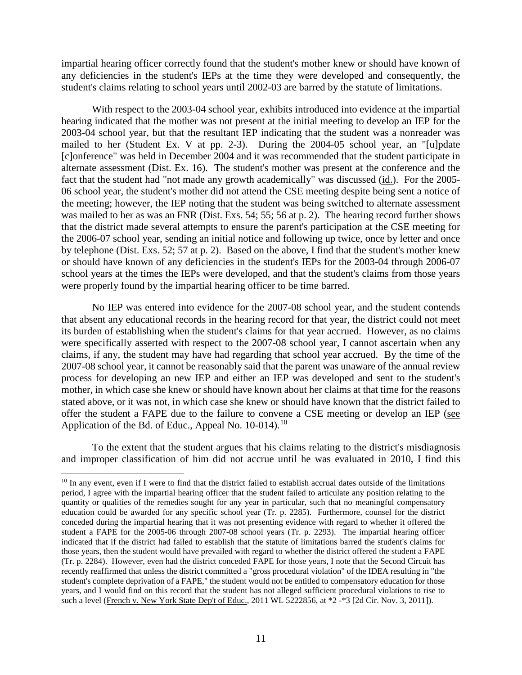impartial hearing officer correctly found that the student's mother knew or should have known of any deficiencies in the student's IEPs at the time they were developed and consequently, the student's claims relating to school years until 2002-03 are barred by the statute of limitations.

With respect to the 2003-04 school year, exhibits introduced into evidence at the impartial hearing indicated that the mother was not present at the initial meeting to develop an IEP for the 2003-04 school year, but that the resultant IEP indicating that the student was a nonreader was mailed to her (Student Ex. V at pp. 2-3). During the 2004-05 school year, an "[u]pdate [c]onference" was held in December 2004 and it was recommended that the student participate in alternate assessment (Dist. Ex. 16). The student's mother was present at the conference and the fact that the student had "not made any growth academically" was discussed (id.). For the 2005- 06 school year, the student's mother did not attend the CSE meeting despite being sent a notice of the meeting; however, the IEP noting that the student was being switched to alternate assessment was mailed to her as was an FNR (Dist. Exs. 54; 55; 56 at p. 2). The hearing record further shows that the district made several attempts to ensure the parent's participation at the CSE meeting for the 2006-07 school year, sending an initial notice and following up twice, once by letter and once by telephone (Dist. Exs. 52; 57 at p. 2). Based on the above, I find that the student's mother knew or should have known of any deficiencies in the student's IEPs for the 2003-04 through 2006-07 school years at the times the IEPs were developed, and that the student's claims from those years were properly found by the impartial hearing officer to be time barred.

No IEP was entered into evidence for the 2007-08 school year, and the student contends that absent any educational records in the hearing record for that year, the district could not meet its burden of establishing when the student's claims for that year accrued. However, as no claims were specifically asserted with respect to the 2007-08 school year, I cannot ascertain when any claims, if any, the student may have had regarding that school year accrued. By the time of the 2007-08 school year, it cannot be reasonably said that the parent was unaware of the annual review process for developing an new IEP and either an IEP was developed and sent to the student's mother, in which case she knew or should have known about her claims at that time for the reasons stated above, or it was not, in which case she knew or should have known that the district failed to offer the student a FAPE due to the failure to convene a CSE meeting or develop an IEP (see Application of the Bd. of Educ., Appeal No.  $10-014$ .<sup>10</sup>

To the extent that the student argues that his claims relating to the district's misdiagnosis and improper classification of him did not accrue until he was evaluated in 2010, I find this

 $10$  In any event, even if I were to find that the district failed to establish accrual dates outside of the limitations period, I agree with the impartial hearing officer that the student failed to articulate any position relating to the quantity or qualities of the remedies sought for any year in particular, such that no meaningful compensatory education could be awarded for any specific school year (Tr. p. 2285). Furthermore, counsel for the district conceded during the impartial hearing that it was not presenting evidence with regard to whether it offered the student a FAPE for the 2005-06 through 2007-08 school years (Tr. p. 2293). The impartial hearing officer indicated that if the district had failed to establish that the statute of limitations barred the student's claims for those years, then the student would have prevailed with regard to whether the district offered the student a FAPE (Tr. p. 2284). However, even had the district conceded FAPE for those years, I note that the Second Circuit has recently reaffirmed that unless the district committed a "gross procedural violation" of the IDEA resulting in "the student's complete deprivation of a FAPE," the student would not be entitled to compensatory education for those years, and I would find on this record that the student has not alleged sufficient procedural violations to rise to such a level (French v. New York State Dep't of Educ., 2011 WL 5222856, at \*2 -\*3 [2d Cir. Nov. 3, 2011]).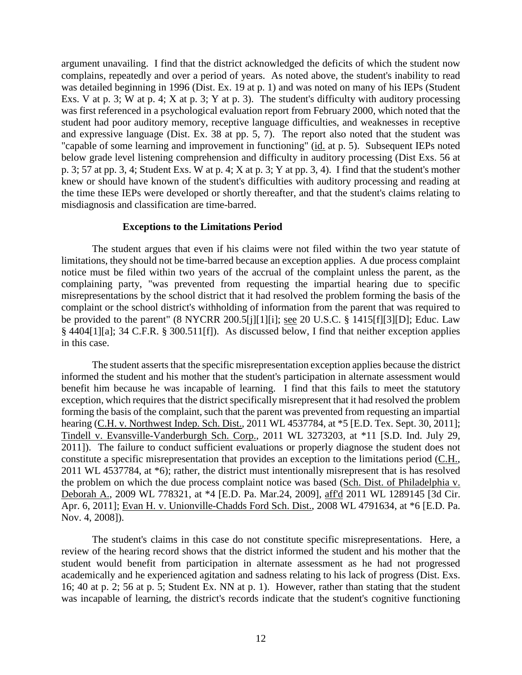argument unavailing. I find that the district acknowledged the deficits of which the student now complains, repeatedly and over a period of years. As noted above, the student's inability to read was detailed beginning in 1996 (Dist. Ex. 19 at p. 1) and was noted on many of his IEPs (Student Exs. V at p. 3; W at p. 4; X at p. 3; Y at p. 3). The student's difficulty with auditory processing was first referenced in a psychological evaluation report from February 2000, which noted that the student had poor auditory memory, receptive language difficulties, and weaknesses in receptive and expressive language (Dist. Ex. 38 at pp. 5, 7). The report also noted that the student was "capable of some learning and improvement in functioning" (id. at p. 5). Subsequent IEPs noted below grade level listening comprehension and difficulty in auditory processing (Dist Exs. 56 at p. 3; 57 at pp. 3, 4; Student Exs. W at p. 4; X at p. 3; Y at pp. 3, 4). I find that the student's mother knew or should have known of the student's difficulties with auditory processing and reading at the time these IEPs were developed or shortly thereafter, and that the student's claims relating to misdiagnosis and classification are time-barred.

#### **Exceptions to the Limitations Period**

The student argues that even if his claims were not filed within the two year statute of limitations, they should not be time-barred because an exception applies. A due process complaint notice must be filed within two years of the accrual of the complaint unless the parent, as the complaining party, "was prevented from requesting the impartial hearing due to specific misrepresentations by the school district that it had resolved the problem forming the basis of the complaint or the school district's withholding of information from the parent that was required to be provided to the parent" (8 NYCRR 200.5[j][1][i]; see 20 U.S.C. § 1415[f][3][D]; Educ. Law § 4404[1][a]; 34 C.F.R. § 300.511[f]). As discussed below, I find that neither exception applies in this case.

The student asserts that the specific misrepresentation exception applies because the district informed the student and his mother that the student's participation in alternate assessment would benefit him because he was incapable of learning. I find that this fails to meet the statutory exception, which requires that the district specifically misrepresent that it had resolved the problem forming the basis of the complaint, such that the parent was prevented from requesting an impartial hearing (C.H. v. Northwest Indep. Sch. Dist., 2011 WL 4537784, at \*5 [E.D. Tex. Sept. 30, 2011]; Tindell v. Evansville-Vanderburgh Sch. Corp., 2011 WL 3273203, at \*11 [S.D. Ind. July 29, 2011]). The failure to conduct sufficient evaluations or properly diagnose the student does not constitute a specific misrepresentation that provides an exception to the limitations period (C.H., 2011 WL 4537784, at \*6); rather, the district must intentionally misrepresent that is has resolved the problem on which the due process complaint notice was based (Sch. Dist. of Philadelphia v. Deborah A., 2009 WL 778321, at \*4 [E.D. Pa. Mar.24, 2009], aff'd 2011 WL 1289145 [3d Cir. Apr. 6, 2011]; Evan H. v. Unionville-Chadds Ford Sch. Dist., 2008 WL 4791634, at \*6 [E.D. Pa. Nov. 4, 2008]).

The student's claims in this case do not constitute specific misrepresentations. Here, a review of the hearing record shows that the district informed the student and his mother that the student would benefit from participation in alternate assessment as he had not progressed academically and he experienced agitation and sadness relating to his lack of progress (Dist. Exs. 16; 40 at p. 2; 56 at p. 5; Student Ex. NN at p. 1). However, rather than stating that the student was incapable of learning, the district's records indicate that the student's cognitive functioning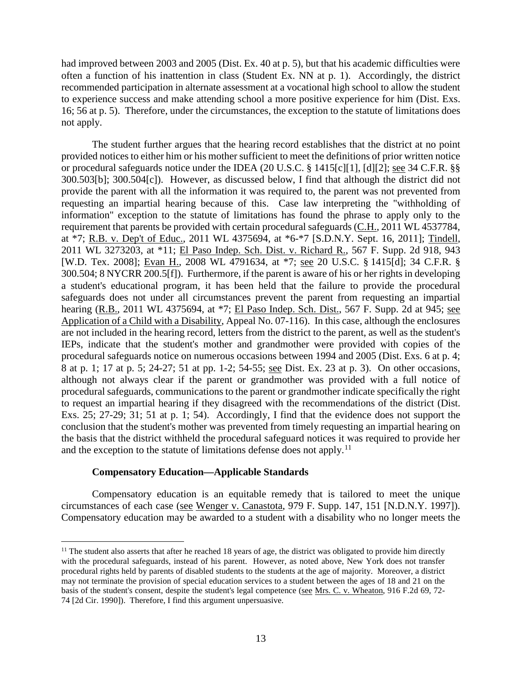had improved between 2003 and 2005 (Dist. Ex. 40 at p. 5), but that his academic difficulties were often a function of his inattention in class (Student Ex. NN at p. 1). Accordingly, the district recommended participation in alternate assessment at a vocational high school to allow the student to experience success and make attending school a more positive experience for him (Dist. Exs. 16; 56 at p. 5). Therefore, under the circumstances, the exception to the statute of limitations does not apply.

The student further argues that the hearing record establishes that the district at no point provided notices to either him or his mother sufficient to meet the definitions of prior written notice or procedural safeguards notice under the IDEA (20 U.S.C. § 1415[c][1], [d][2]; see 34 C.F.R. §§ 300.503[b]; 300.504[c]). However, as discussed below, I find that although the district did not provide the parent with all the information it was required to, the parent was not prevented from requesting an impartial hearing because of this. Case law interpreting the "withholding of information" exception to the statute of limitations has found the phrase to apply only to the requirement that parents be provided with certain procedural safeguards (C.H., 2011 WL 4537784, at \*7; R.B. v. Dep't of Educ., 2011 WL 4375694, at \*6-\*7 [S.D.N.Y. Sept. 16, 2011]; Tindell, 2011 WL 3273203, at \*11; El Paso Indep. Sch. Dist. v. Richard R., 567 F. Supp. 2d 918, 943 [W.D. Tex. 2008]; Evan H., 2008 WL 4791634, at \*7; see 20 U.S.C. § 1415[d]; 34 C.F.R. § 300.504; 8 NYCRR 200.5[f]). Furthermore, if the parent is aware of his or her rights in developing a student's educational program, it has been held that the failure to provide the procedural safeguards does not under all circumstances prevent the parent from requesting an impartial hearing (R.B., 2011 WL 4375694, at \*7; El Paso Indep. Sch. Dist., 567 F. Supp. 2d at 945; see Application of a Child with a Disability, Appeal No. 07-116). In this case, although the enclosures are not included in the hearing record, letters from the district to the parent, as well as the student's IEPs, indicate that the student's mother and grandmother were provided with copies of the procedural safeguards notice on numerous occasions between 1994 and 2005 (Dist. Exs. 6 at p. 4; 8 at p. 1; 17 at p. 5; 24-27; 51 at pp. 1-2; 54-55; see Dist. Ex. 23 at p. 3). On other occasions, although not always clear if the parent or grandmother was provided with a full notice of procedural safeguards, communications to the parent or grandmother indicate specifically the right to request an impartial hearing if they disagreed with the recommendations of the district (Dist. Exs. 25; 27-29; 31; 51 at p. 1; 54). Accordingly, I find that the evidence does not support the conclusion that the student's mother was prevented from timely requesting an impartial hearing on the basis that the district withheld the procedural safeguard notices it was required to provide her and the exception to the statute of limitations defense does not apply.<sup>11</sup>

# **Compensatory Education—Applicable Standards**

Compensatory education is an equitable remedy that is tailored to meet the unique circumstances of each case (see Wenger v. Canastota, 979 F. Supp. 147, 151 [N.D.N.Y. 1997]). Compensatory education may be awarded to a student with a disability who no longer meets the

 $<sup>11</sup>$  The student also asserts that after he reached 18 years of age, the district was obligated to provide him directly</sup> with the procedural safeguards, instead of his parent. However, as noted above, New York does not transfer procedural rights held by parents of disabled students to the students at the age of majority. Moreover, a district may not terminate the provision of special education services to a student between the ages of 18 and 21 on the basis of the student's consent, despite the student's legal competence (see Mrs. C. v. Wheaton, 916 F.2d 69, 72-74 [2d Cir. 1990]). Therefore, I find this argument unpersuasive.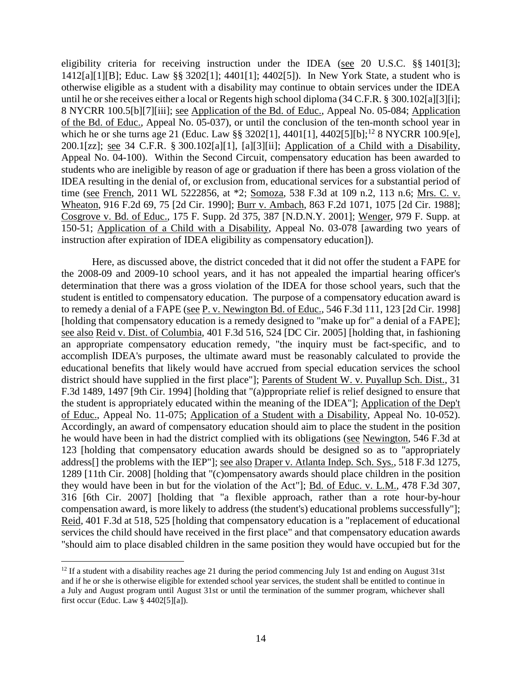eligibility criteria for receiving instruction under the IDEA (see 20 U.S.C. §§ 1401[3]; 1412[a][1][B]; Educ. Law §§ 3202[1]; 4401[1]; 4402[5]). In New York State, a student who is otherwise eligible as a student with a disability may continue to obtain services under the IDEA until he or she receives either a local or Regents high school diploma (34 C.F.R. § 300.102[a][3][i]; 8 NYCRR 100.5[b][7][iii]; see Application of the Bd. of Educ., Appeal No. 05-084; Application of the Bd. of Educ., Appeal No. 05-037), or until the conclusion of the ten-month school year in which he or she turns age 21 (Educ. Law §§ 3202[1], 4401[1], 4402[5][b];<sup>12</sup> 8 NYCRR 100.9[e], 200.1[zz]; see 34 C.F.R. § 300.102[a][1], [a][3][ii]; Application of a Child with a Disability, Appeal No. 04-100). Within the Second Circuit, compensatory education has been awarded to students who are ineligible by reason of age or graduation if there has been a gross violation of the IDEA resulting in the denial of, or exclusion from, educational services for a substantial period of time (see French, 2011 WL 5222856, at \*2; Somoza, 538 F.3d at 109 n.2, 113 n.6; Mrs. C. v. Wheaton, 916 F.2d 69, 75 [2d Cir. 1990]; Burr v. Ambach, 863 F.2d 1071, 1075 [2d Cir. 1988]; Cosgrove v. Bd. of Educ., 175 F. Supp. 2d 375, 387 [N.D.N.Y. 2001]; Wenger, 979 F. Supp. at 150-51; Application of a Child with a Disability, Appeal No. 03-078 [awarding two years of instruction after expiration of IDEA eligibility as compensatory education]).

Here, as discussed above, the district conceded that it did not offer the student a FAPE for the 2008-09 and 2009-10 school years, and it has not appealed the impartial hearing officer's determination that there was a gross violation of the IDEA for those school years, such that the student is entitled to compensatory education. The purpose of a compensatory education award is to remedy a denial of a FAPE (see P. v. Newington Bd. of Educ., 546 F.3d 111, 123 [2d Cir. 1998] [holding that compensatory education is a remedy designed to "make up for" a denial of a FAPE]; see also Reid v. Dist. of Columbia, 401 F.3d 516, 524 [DC Cir. 2005] [holding that, in fashioning an appropriate compensatory education remedy, "the inquiry must be fact-specific, and to accomplish IDEA's purposes, the ultimate award must be reasonably calculated to provide the educational benefits that likely would have accrued from special education services the school district should have supplied in the first place"]; Parents of Student W. v. Puyallup Sch. Dist., 31 F.3d 1489, 1497 [9th Cir. 1994] [holding that "(a)ppropriate relief is relief designed to ensure that the student is appropriately educated within the meaning of the IDEA"]; Application of the Dep't of Educ., Appeal No. 11-075; Application of a Student with a Disability, Appeal No. 10-052). Accordingly, an award of compensatory education should aim to place the student in the position he would have been in had the district complied with its obligations (see Newington, 546 F.3d at 123 [holding that compensatory education awards should be designed so as to "appropriately address[] the problems with the IEP"]; see also Draper v. Atlanta Indep. Sch. Sys., 518 F.3d 1275, 1289 [11th Cir. 2008] [holding that "(c)ompensatory awards should place children in the position they would have been in but for the violation of the Act"]; Bd. of Educ. v. L.M., 478 F.3d 307, 316 [6th Cir. 2007] [holding that "a flexible approach, rather than a rote hour-by-hour compensation award, is more likely to address (the student's) educational problems successfully"]; Reid, 401 F.3d at 518, 525 [holding that compensatory education is a "replacement of educational services the child should have received in the first place" and that compensatory education awards "should aim to place disabled children in the same position they would have occupied but for the

<sup>&</sup>lt;sup>12</sup> If a student with a disability reaches age 21 during the period commencing July 1st and ending on August 31st and if he or she is otherwise eligible for extended school year services, the student shall be entitled to continue in a July and August program until August 31st or until the termination of the summer program, whichever shall first occur (Educ. Law § 4402[5][a]).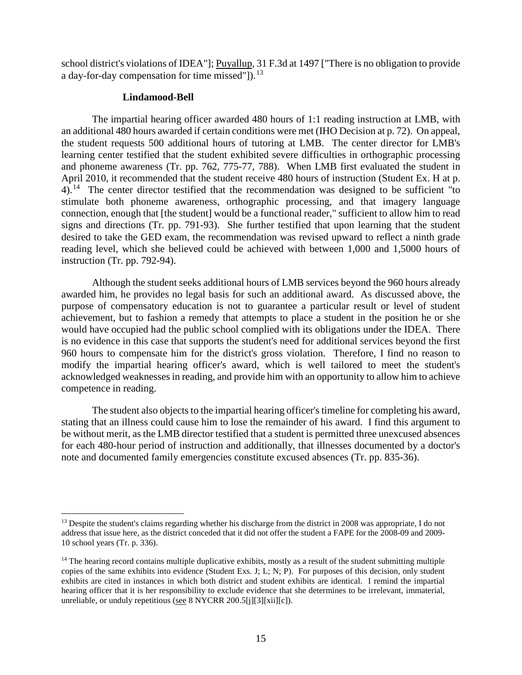school district's violations of IDEA"]; Puyallup, 31 F.3d at 1497 ["There is no obligation to provide a day-for-day compensation for time missed"]). $^{13}$ 

#### **Lindamood-Bell**

The impartial hearing officer awarded 480 hours of 1:1 reading instruction at LMB, with an additional 480 hours awarded if certain conditions were met (IHO Decision at p. 72). On appeal, the student requests 500 additional hours of tutoring at LMB. The center director for LMB's learning center testified that the student exhibited severe difficulties in orthographic processing and phoneme awareness (Tr. pp. 762, 775-77, 788). When LMB first evaluated the student in April 2010, it recommended that the student receive 480 hours of instruction (Student Ex. H at p.  $4)$ .<sup>14</sup> The center director testified that the recommendation was designed to be sufficient "to stimulate both phoneme awareness, orthographic processing, and that imagery language connection, enough that [the student] would be a functional reader," sufficient to allow him to read signs and directions (Tr. pp. 791-93). She further testified that upon learning that the student desired to take the GED exam, the recommendation was revised upward to reflect a ninth grade reading level, which she believed could be achieved with between 1,000 and 1,5000 hours of instruction (Tr. pp. 792-94).

Although the student seeks additional hours of LMB services beyond the 960 hours already awarded him, he provides no legal basis for such an additional award. As discussed above, the purpose of compensatory education is not to guarantee a particular result or level of student achievement, but to fashion a remedy that attempts to place a student in the position he or she would have occupied had the public school complied with its obligations under the IDEA. There is no evidence in this case that supports the student's need for additional services beyond the first 960 hours to compensate him for the district's gross violation. Therefore, I find no reason to modify the impartial hearing officer's award, which is well tailored to meet the student's acknowledged weaknesses in reading, and provide him with an opportunity to allow him to achieve competence in reading.

The student also objects to the impartial hearing officer's timeline for completing his award, stating that an illness could cause him to lose the remainder of his award. I find this argument to be without merit, as the LMB director testified that a student is permitted three unexcused absences for each 480-hour period of instruction and additionally, that illnesses documented by a doctor's note and documented family emergencies constitute excused absences (Tr. pp. 835-36).

<sup>&</sup>lt;sup>13</sup> Despite the student's claims regarding whether his discharge from the district in 2008 was appropriate, I do not address that issue here, as the district conceded that it did not offer the student a FAPE for the 2008-09 and 2009- 10 school years (Tr. p. 336).

<sup>&</sup>lt;sup>14</sup> The hearing record contains multiple duplicative exhibits, mostly as a result of the student submitting multiple copies of the same exhibits into evidence (Student Exs. J; L; N; P). For purposes of this decision, only student exhibits are cited in instances in which both district and student exhibits are identical. I remind the impartial hearing officer that it is her responsibility to exclude evidence that she determines to be irrelevant, immaterial, unreliable, or unduly repetitious (see 8 NYCRR 200.5[j][3][xii][c]).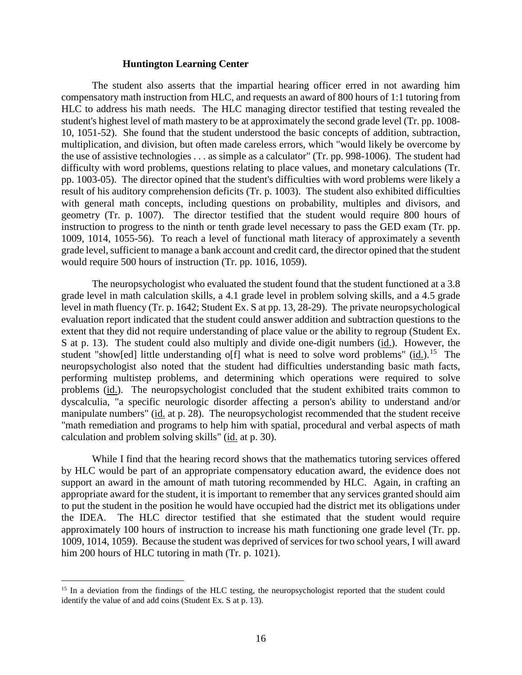## **Huntington Learning Center**

The student also asserts that the impartial hearing officer erred in not awarding him compensatory math instruction from HLC, and requests an award of 800 hours of 1:1 tutoring from HLC to address his math needs. The HLC managing director testified that testing revealed the student's highest level of math mastery to be at approximately the second grade level (Tr. pp. 1008- 10, 1051-52). She found that the student understood the basic concepts of addition, subtraction, multiplication, and division, but often made careless errors, which "would likely be overcome by the use of assistive technologies . . . as simple as a calculator" (Tr. pp. 998-1006). The student had difficulty with word problems, questions relating to place values, and monetary calculations (Tr. pp. 1003-05). The director opined that the student's difficulties with word problems were likely a result of his auditory comprehension deficits (Tr. p. 1003). The student also exhibited difficulties with general math concepts, including questions on probability, multiples and divisors, and geometry (Tr. p. 1007). The director testified that the student would require 800 hours of instruction to progress to the ninth or tenth grade level necessary to pass the GED exam (Tr. pp. 1009, 1014, 1055-56). To reach a level of functional math literacy of approximately a seventh grade level, sufficient to manage a bank account and credit card, the director opined that the student would require 500 hours of instruction (Tr. pp. 1016, 1059).

The neuropsychologist who evaluated the student found that the student functioned at a 3.8 grade level in math calculation skills, a 4.1 grade level in problem solving skills, and a 4.5 grade level in math fluency (Tr. p. 1642; Student Ex. S at pp. 13, 28-29). The private neuropsychological evaluation report indicated that the student could answer addition and subtraction questions to the extent that they did not require understanding of place value or the ability to regroup (Student Ex. S at p. 13). The student could also multiply and divide one-digit numbers (id.). However, the student "show[ed] little understanding o[f] what is need to solve word problems" (id.).<sup>15</sup> The neuropsychologist also noted that the student had difficulties understanding basic math facts, performing multistep problems, and determining which operations were required to solve problems (id.). The neuropsychologist concluded that the student exhibited traits common to dyscalculia, "a specific neurologic disorder affecting a person's ability to understand and/or manipulate numbers" (id. at p. 28). The neuropsychologist recommended that the student receive "math remediation and programs to help him with spatial, procedural and verbal aspects of math calculation and problem solving skills" (id. at p. 30).

While I find that the hearing record shows that the mathematics tutoring services offered by HLC would be part of an appropriate compensatory education award, the evidence does not support an award in the amount of math tutoring recommended by HLC. Again, in crafting an appropriate award for the student, it is important to remember that any services granted should aim to put the student in the position he would have occupied had the district met its obligations under the IDEA. The HLC director testified that she estimated that the student would require approximately 100 hours of instruction to increase his math functioning one grade level (Tr. pp. 1009, 1014, 1059). Because the student was deprived of services for two school years, I will award him 200 hours of HLC tutoring in math (Tr. p. 1021).

<sup>&</sup>lt;sup>15</sup> In a deviation from the findings of the HLC testing, the neuropsychologist reported that the student could identify the value of and add coins (Student Ex. S at p. 13).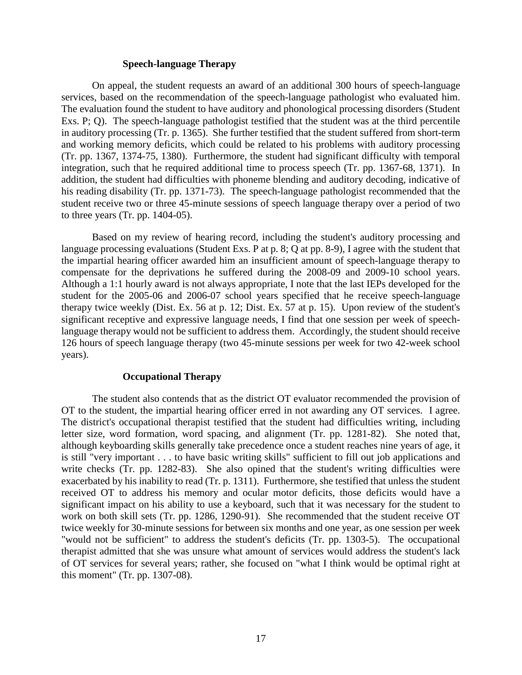## **Speech-language Therapy**

On appeal, the student requests an award of an additional 300 hours of speech-language services, based on the recommendation of the speech-language pathologist who evaluated him. The evaluation found the student to have auditory and phonological processing disorders (Student Exs. P; Q). The speech-language pathologist testified that the student was at the third percentile in auditory processing (Tr. p. 1365). She further testified that the student suffered from short-term and working memory deficits, which could be related to his problems with auditory processing (Tr. pp. 1367, 1374-75, 1380). Furthermore, the student had significant difficulty with temporal integration, such that he required additional time to process speech (Tr. pp. 1367-68, 1371). In addition, the student had difficulties with phoneme blending and auditory decoding, indicative of his reading disability (Tr. pp. 1371-73). The speech-language pathologist recommended that the student receive two or three 45-minute sessions of speech language therapy over a period of two to three years (Tr. pp. 1404-05).

Based on my review of hearing record, including the student's auditory processing and language processing evaluations (Student Exs. P at p. 8; Q at pp. 8-9), I agree with the student that the impartial hearing officer awarded him an insufficient amount of speech-language therapy to compensate for the deprivations he suffered during the 2008-09 and 2009-10 school years. Although a 1:1 hourly award is not always appropriate, I note that the last IEPs developed for the student for the 2005-06 and 2006-07 school years specified that he receive speech-language therapy twice weekly (Dist. Ex. 56 at p. 12; Dist. Ex. 57 at p. 15). Upon review of the student's significant receptive and expressive language needs, I find that one session per week of speechlanguage therapy would not be sufficient to address them. Accordingly, the student should receive 126 hours of speech language therapy (two 45-minute sessions per week for two 42-week school years).

# **Occupational Therapy**

The student also contends that as the district OT evaluator recommended the provision of OT to the student, the impartial hearing officer erred in not awarding any OT services. I agree. The district's occupational therapist testified that the student had difficulties writing, including letter size, word formation, word spacing, and alignment (Tr. pp. 1281-82). She noted that, although keyboarding skills generally take precedence once a student reaches nine years of age, it is still "very important . . . to have basic writing skills" sufficient to fill out job applications and write checks (Tr. pp. 1282-83). She also opined that the student's writing difficulties were exacerbated by his inability to read (Tr. p. 1311). Furthermore, she testified that unless the student received OT to address his memory and ocular motor deficits, those deficits would have a significant impact on his ability to use a keyboard, such that it was necessary for the student to work on both skill sets (Tr. pp. 1286, 1290-91). She recommended that the student receive OT twice weekly for 30-minute sessions for between six months and one year, as one session per week "would not be sufficient" to address the student's deficits (Tr. pp. 1303-5). The occupational therapist admitted that she was unsure what amount of services would address the student's lack of OT services for several years; rather, she focused on "what I think would be optimal right at this moment" (Tr. pp. 1307-08).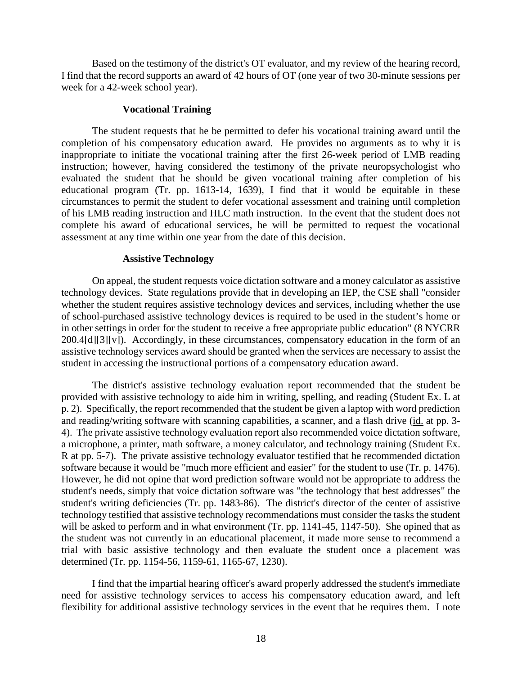Based on the testimony of the district's OT evaluator, and my review of the hearing record, I find that the record supports an award of 42 hours of OT (one year of two 30-minute sessions per week for a 42-week school year).

## **Vocational Training**

The student requests that he be permitted to defer his vocational training award until the completion of his compensatory education award. He provides no arguments as to why it is inappropriate to initiate the vocational training after the first 26-week period of LMB reading instruction; however, having considered the testimony of the private neuropsychologist who evaluated the student that he should be given vocational training after completion of his educational program (Tr. pp. 1613-14, 1639), I find that it would be equitable in these circumstances to permit the student to defer vocational assessment and training until completion of his LMB reading instruction and HLC math instruction. In the event that the student does not complete his award of educational services, he will be permitted to request the vocational assessment at any time within one year from the date of this decision.

#### **Assistive Technology**

On appeal, the student requests voice dictation software and a money calculator as assistive technology devices. State regulations provide that in developing an IEP, the CSE shall "consider whether the student requires assistive technology devices and services, including whether the use of school-purchased assistive technology devices is required to be used in the student's home or in other settings in order for the student to receive a free appropriate public education" (8 NYCRR  $200.4\text{d}$ [3][v]). Accordingly, in these circumstances, compensatory education in the form of an assistive technology services award should be granted when the services are necessary to assist the student in accessing the instructional portions of a compensatory education award.

The district's assistive technology evaluation report recommended that the student be provided with assistive technology to aide him in writing, spelling, and reading (Student Ex. L at p. 2). Specifically, the report recommended that the student be given a laptop with word prediction and reading/writing software with scanning capabilities, a scanner, and a flash drive (id. at pp. 3- 4). The private assistive technology evaluation report also recommended voice dictation software, a microphone, a printer, math software, a money calculator, and technology training (Student Ex. R at pp. 5-7). The private assistive technology evaluator testified that he recommended dictation software because it would be "much more efficient and easier" for the student to use (Tr. p. 1476). However, he did not opine that word prediction software would not be appropriate to address the student's needs, simply that voice dictation software was "the technology that best addresses" the student's writing deficiencies (Tr. pp. 1483-86). The district's director of the center of assistive technology testified that assistive technology recommendations must consider the tasks the student will be asked to perform and in what environment (Tr. pp. 1141-45, 1147-50). She opined that as the student was not currently in an educational placement, it made more sense to recommend a trial with basic assistive technology and then evaluate the student once a placement was determined (Tr. pp. 1154-56, 1159-61, 1165-67, 1230).

I find that the impartial hearing officer's award properly addressed the student's immediate need for assistive technology services to access his compensatory education award, and left flexibility for additional assistive technology services in the event that he requires them. I note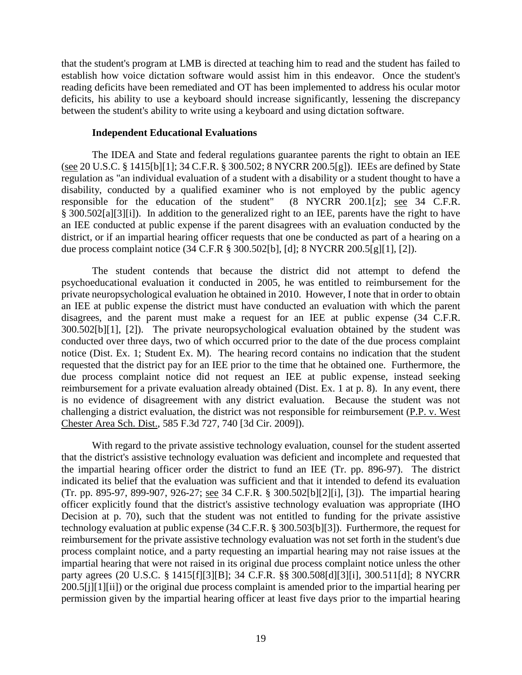that the student's program at LMB is directed at teaching him to read and the student has failed to establish how voice dictation software would assist him in this endeavor. Once the student's reading deficits have been remediated and OT has been implemented to address his ocular motor deficits, his ability to use a keyboard should increase significantly, lessening the discrepancy between the student's ability to write using a keyboard and using dictation software.

## **Independent Educational Evaluations**

The IDEA and State and federal regulations guarantee parents the right to obtain an IEE (see 20 U.S.C. § 1415[b][1]; 34 C.F.R. § 300.502; 8 NYCRR 200.5[g]). IEEs are defined by State regulation as "an individual evaluation of a student with a disability or a student thought to have a disability, conducted by a qualified examiner who is not employed by the public agency responsible for the education of the student" (8 NYCRR 200.1[z]; see 34 C.F.R. § 300.502[a][3][i]). In addition to the generalized right to an IEE, parents have the right to have an IEE conducted at public expense if the parent disagrees with an evaluation conducted by the district, or if an impartial hearing officer requests that one be conducted as part of a hearing on a due process complaint notice (34 C.F.R § 300.502[b], [d]; 8 NYCRR 200.5[g][1], [2]).

The student contends that because the district did not attempt to defend the psychoeducational evaluation it conducted in 2005, he was entitled to reimbursement for the private neuropsychological evaluation he obtained in 2010. However, I note that in order to obtain an IEE at public expense the district must have conducted an evaluation with which the parent disagrees, and the parent must make a request for an IEE at public expense (34 C.F.R. 300.502[b][1], [2]). The private neuropsychological evaluation obtained by the student was conducted over three days, two of which occurred prior to the date of the due process complaint notice (Dist. Ex. 1; Student Ex. M). The hearing record contains no indication that the student requested that the district pay for an IEE prior to the time that he obtained one. Furthermore, the due process complaint notice did not request an IEE at public expense, instead seeking reimbursement for a private evaluation already obtained (Dist. Ex. 1 at p. 8). In any event, there is no evidence of disagreement with any district evaluation. Because the student was not challenging a district evaluation, the district was not responsible for reimbursement (P.P. v. West Chester Area Sch. Dist., 585 F.3d 727, 740 [3d Cir. 2009]).

With regard to the private assistive technology evaluation, counsel for the student asserted that the district's assistive technology evaluation was deficient and incomplete and requested that the impartial hearing officer order the district to fund an IEE (Tr. pp. 896-97). The district indicated its belief that the evaluation was sufficient and that it intended to defend its evaluation (Tr. pp. 895-97, 899-907, 926-27; see 34 C.F.R. § 300.502[b][2][i], [3]). The impartial hearing officer explicitly found that the district's assistive technology evaluation was appropriate (IHO Decision at p. 70), such that the student was not entitled to funding for the private assistive technology evaluation at public expense (34 C.F.R. § 300.503[b][3]). Furthermore, the request for reimbursement for the private assistive technology evaluation was not set forth in the student's due process complaint notice, and a party requesting an impartial hearing may not raise issues at the impartial hearing that were not raised in its original due process complaint notice unless the other party agrees (20 U.S.C. § 1415[f][3][B]; 34 C.F.R. §§ 300.508[d][3][i], 300.511[d]; 8 NYCRR 200.5[j][1][ii]) or the original due process complaint is amended prior to the impartial hearing per permission given by the impartial hearing officer at least five days prior to the impartial hearing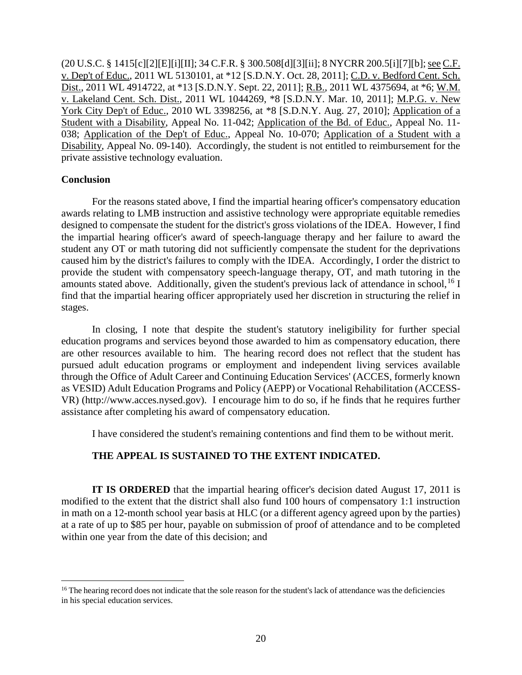(20 U.S.C. § 1415[c][2][E][i][II]; 34 C.F.R. § 300.508[d][3][ii]; 8 NYCRR 200.5[i][7][b]; see C.F. v. Dep't of Educ., 2011 WL 5130101, at \*12 [S.D.N.Y. Oct. 28, 2011]; C.D. v. Bedford Cent. Sch. Dist., 2011 WL 4914722, at \*13 [S.D.N.Y. Sept. 22, 2011]; R.B., 2011 WL 4375694, at \*6; W.M. v. Lakeland Cent. Sch. Dist., 2011 WL 1044269, \*8 [S.D.N.Y. Mar. 10, 2011]; M.P.G. v. New York City Dep't of Educ., 2010 WL 3398256, at \*8 [S.D.N.Y. Aug. 27, 2010]; Application of a Student with a Disability, Appeal No. 11-042; Application of the Bd. of Educ., Appeal No. 11- 038; Application of the Dep't of Educ., Appeal No. 10-070; Application of a Student with a Disability, Appeal No. 09-140). Accordingly, the student is not entitled to reimbursement for the private assistive technology evaluation.

# **Conclusion**

For the reasons stated above, I find the impartial hearing officer's compensatory education awards relating to LMB instruction and assistive technology were appropriate equitable remedies designed to compensate the student for the district's gross violations of the IDEA. However, I find the impartial hearing officer's award of speech-language therapy and her failure to award the student any OT or math tutoring did not sufficiently compensate the student for the deprivations caused him by the district's failures to comply with the IDEA. Accordingly, I order the district to provide the student with compensatory speech-language therapy, OT, and math tutoring in the amounts stated above. Additionally, given the student's previous lack of attendance in school, <sup>16</sup> I find that the impartial hearing officer appropriately used her discretion in structuring the relief in stages.

In closing, I note that despite the student's statutory ineligibility for further special education programs and services beyond those awarded to him as compensatory education, there are other resources available to him. The hearing record does not reflect that the student has pursued adult education programs or employment and independent living services available through the Office of Adult Career and Continuing Education Services' (ACCES, formerly known as VESID) Adult Education Programs and Policy (AEPP) or Vocational Rehabilitation (ACCESS-VR) (http://www.acces.nysed.gov). I encourage him to do so, if he finds that he requires further assistance after completing his award of compensatory education.

I have considered the student's remaining contentions and find them to be without merit.

# **THE APPEAL IS SUSTAINED TO THE EXTENT INDICATED.**

**IT IS ORDERED** that the impartial hearing officer's decision dated August 17, 2011 is modified to the extent that the district shall also fund 100 hours of compensatory 1:1 instruction in math on a 12-month school year basis at HLC (or a different agency agreed upon by the parties) at a rate of up to \$85 per hour, payable on submission of proof of attendance and to be completed within one year from the date of this decision; and

 $16$  The hearing record does not indicate that the sole reason for the student's lack of attendance was the deficiencies in his special education services.